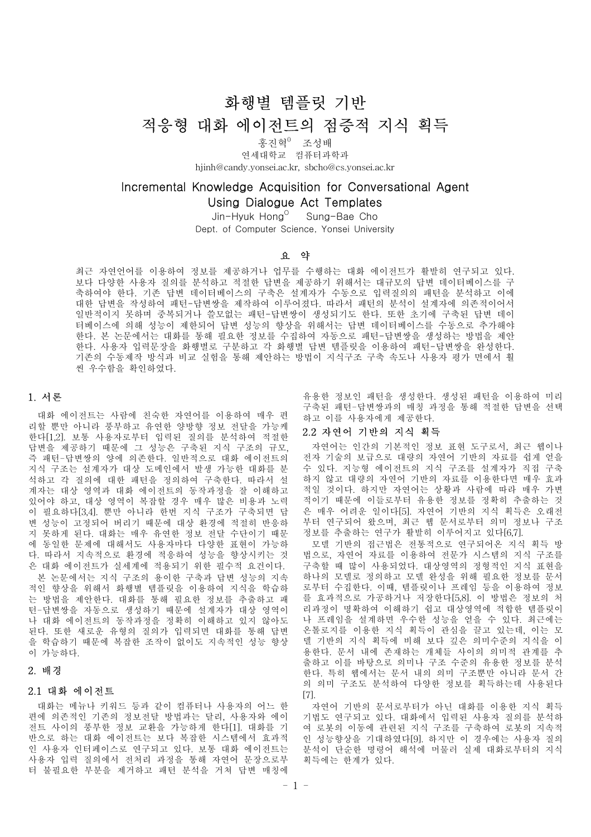# 화행별 템플릿 기반 적응형 대화 에이전트의 점증적 지식 획득

홍진혁 $^0$  조성배 연세대학교 컴퓨터과학과

hjinh@candy.yonsei.ac.kr, sbcho@cs.yonsei.ac.kr

## Incremental Knowledge Acquisition for Conversational Agent Using Dialogue Act Templates

Jin-Hyuk Hong<sup>o</sup> Sung-Bae Cho Dept. of Computer Science. Yonsei University

#### 요 약

최근 자연언어를 이용하여 정보를 제공하거나 업무를 수행하는 대화 에이전트가 활발히 연구되고 있다. 보다 다양한 사용자 질의를 분석하고 적절한 답변을 제공하기 위해서는 대규모의 답변 데이터베이스를 구 축하여야 한다. 기존 답변 데이터베이스의 구축은 설계자가 수동으로 입력질의의 패턴을 분석하고 이에 대한 답변을 작성하여 패턴-답변쌍을 제작하여 이루어졌다. 따라서 패턴의 분석이 설계자에 의존적이어서 일반적이지 못하며 중복되거나 쓸모없는 패턴-답변쌍이 생성되기도 한다. 또한 초기에 구축된 답변 데이 터베이스에 의해 성능이 제한되어 답변 성능의 향상을 위해서는 답변 데이터베이스를 수동으로 추가해야 한다. 본 논문에서는 대화를 통해 필요한 정보를 수집하여 자동으로 패턴-답변쌍을 생성하는 방법을 제안 한다. 사용자 입력문장을 화행별로 구분하고 각 화행별 답변 템플릿을 이용하여 패턴-답변쌍을 완성한다. 기존의 수동제작 방식과 비교 실험을 통해 제안하는 방법이 지식구조 구축 속도나 사용자 평가 면에서 훨 씬 우수함을 확인하였다.

## 1. 서론

대화 에이전트는 사람에 친숙한 자연어를 이용하여 매우 편 리할 뿐만 아니라 풍부하고 유연한 양방향 정보 전달을 가능케 한다[1,2]. 보통 사용자로부터 입력된 질의를 분석하여 적절한 답변을 제공하기 때문에 그 성능은 구축된 지식 구조의 규모, 즉 패턴-답변쌍의 양에 의존한다. 일반적으로 대화 에이전트의 지식 구조는 설계자가 대상 도메인에서 발생 가능한 대화를 분 석하고 각 질의에 대한 패턴을 정의하여 구축한다. 따라서 설 계자는 대상 영역과 대화 에이전트의 동작과정을 잘 이해하고 있어야 하고, 대상 영역이 복잡할 경우 매우 많은 비용과 노력 이 필요하다[3,4]. 뿐만 아니라 한번 지식 구조가 구축되면 답 변 성능이 고정되어 버리기 때문에 대상 환경에 적절히 반응하 지 못하게 된다. 대화는 매우 유연한 정보 전달 수단이기 때문 에 동일한 문제에 대해서도 사용자마다 다양한 표현이 가능하 다. 따라서 지속적으로 환경에 적응하여 성능을 향상시키는 것 은 대화 에이전트가 실세계에 적용되기 위한 필수적 요건이다. 본 논문에서는 지식 구조의 용이한 구축과 답변 성능의 지속

적인 향상을 위해서 화행별 템플릿을 이용하여 지식을 학습하 는 방법을 제안한다. 대화를 통해 필요한 정보를 추출하고 패 턴-답변쌍을 자동으로 생성하기 때문에 설계자가 대상 영역이 나 대화 에이전트의 동작과정을 정확히 이해하고 있지 않아도 된다. 또한 새로운 유형의 질의가 입력되면 대화를 통해 답변 을 학습하기 때문에 복잡한 조작이 없이도 지속적인 성능 향상 이 가능하다.

## 2. 배경

#### 2.1 대화 에이전트

대화는 메뉴나 키워드 등과 같이 컴퓨터나 사용자의 어느 한 편에 의존적인 기존의 정보전달 방법과는 달리, 사용자와 에이 전트 사이의 풍부한 정보 교환을 가능하게 한다[1]. 대화를 기 반으로 하는 대화 에이전트는 보다 복잡한 시스템에서 효과적 인 사용자 인터페이스로 연구되고 있다. 보통 대화 에이전트는 사용자 입력 질의에서 전처리 과정을 통해 자연어 문장으로부 터 불필요한 부분을 제거하고 패턴 분석을 거쳐 답변 매칭에

유용한 정보인 패턴을 생성한다. 생성된 패턴을 이용하여 미리 구축된 패턴-답변쌍과의 매칭 과정을 통해 적절한 답변을 선택 하고 이를 사용자에게 제공한다.

#### 2.2 자연어 기반의 지식 획득

자연어는 인간의 기본적인 정보 표현 도구로서, 최근 웹이나 전자 기술의 보급으로 대량의 자연어 기반의 자료를 쉽게 얻을 수 있다. 지능형 에이전트의 지식 구조를 설계자가 직접 구축 하지 않고 대량의 자연어 기반의 자료를 이용한다면 매우 효과 적일 것이다. 하지만 자연어는 상황과 사람에 따라 매우 가변 적이기 때문에 이들로부터 유용한 정보를 정확히 추출하는 것 은 매우 어려운 일이다[5]. 자연어 기반의 지식 획득은 오래전 부터 연구되어 왔으며, 최근 웹 문서로부터 의미 정보나 구조 정보를 추출하는 연구가 활발히 이루어지고 있다[6,7].

모델 기반의 접근법은 전통적으로 연구되어온 지식 획득 방 법으로, 자연어 자료를 이용하여 전문가 시스템의 지식 구조를 구축할 때 많이 사용되었다. 대상영역의 정형적인 지식 표현을 하나의 모델로 정의하고 모델 완성을 위해 필요한 정보를 문서 로부터 수집한다. 이때, 템플릿이나 프레임 등을 이용하여 정보 를 효과적으로 가공하거나 저장한다[5,8]. 이 방법은 정보의 처 리과정이 명확하여 이해하기 쉽고 대상영역에 적합한 템플릿이 나 프레임을 설계하면 우수한 성능을 얻을 수 있다. 최근에는 온톨로지를 이용한 지식 획득이 관심을 끌고 있는데, 이는 모 델 기반의 지식 획득에 비해 보다 깊은 의미수준의 지식을 이 용한다. 문서 내에 존재하는 개체들 사이의 의미적 관계를 추 출하고 이를 바탕으로 의미나 구조 수준의 유용한 정보를 분석 한다. 특히 웹에서는 문서 내의 의미 구조뿐만 아니라 문서 간 의 의미 구조도 분석하여 다양한 정보를 획득하는데 사용된다 [7].

자연어 기반의 문서로부터가 아닌 대화를 이용한 지식 획득 기법도 연구되고 있다. 대화에서 입력된 사용자 질의를 분석하 여 로봇의 이동에 관련된 지식 구조를 구축하여 로봇의 지속적 인 성능향상을 기대하였다[9]. 하지만 이 경우에는 사용자 질의 분석이 단순한 명령어 해석에 머물러 실제 대화로부터의 지식 획득에는 한계가 있다.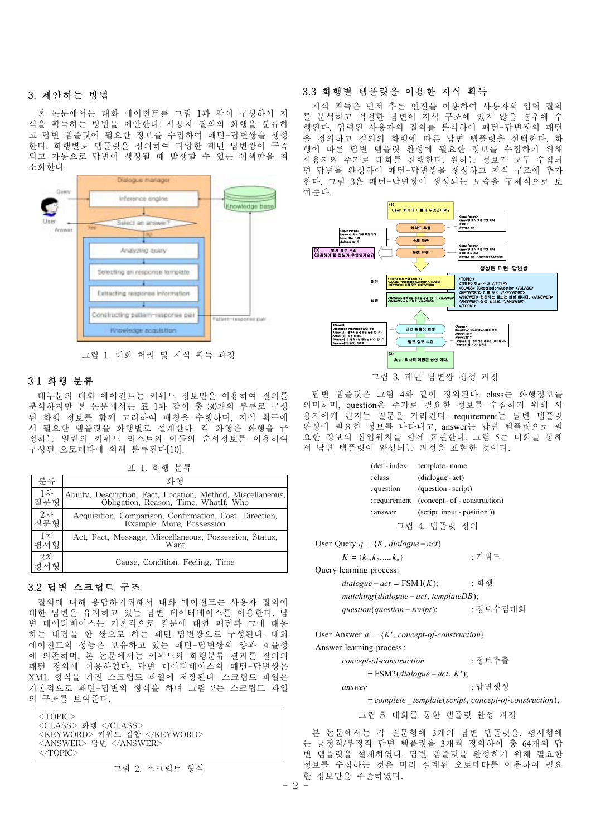## 3. 제안하는 방법

본 논문에서는 대화 에이전트를 그림 1과 같이 구성하여 지 식을 획득하는 방법을 제안한다. 사용자 질의의 화행을 분류하 고 답변 템플릿에 필요한 정보를 수집하여 패턴-답변쌍을 생성 한다. 화행별로 템플릿을 정의하여 다양한 패턴-답변쌍이 구축 되고 자동으로 답변이 생성될 때 발생할 수 있는 어색함을 최 소화한다.



그림 1. 대화 처리 및 지식 획득 과정

#### 3.1 화행 분류

대부분의 대화 에이전트는 키워드 정보만을 이용하여 질의를 분석하지만 본 논문에서는 표 1과 같이 총 30개의 부류로 구성 된 화행 정보를 함께 고려하여 매칭을 수행하며, 지식 획득에 서 필요한 템플릿을 화행별로 설계한다. 각 화행은 화행을 규 정하는 일련의 키워드 리스트와 이들의 순서정보를 이용하여 구성된 오토메타에 의해 분류된다[10].

| 표 1. 화행 분류        |                                                                                                       |  |  |  |  |  |
|-------------------|-------------------------------------------------------------------------------------------------------|--|--|--|--|--|
| 분류                | 화행                                                                                                    |  |  |  |  |  |
| 1차<br>질문형         | Ability, Description, Fact, Location, Method, Miscellaneous,<br>Obligation, Reason, Time, WhatIf, Who |  |  |  |  |  |
| 2차<br>질문형         | Acquisition, Comparison, Confirmation, Cost, Direction, Example, More, Possession                     |  |  |  |  |  |
| $1\bar{z}$<br>평서형 | Act, Fact, Message, Miscellaneous, Possession, Status,<br>Want                                        |  |  |  |  |  |
| 2차                | Cause, Condition, Feeling, Time                                                                       |  |  |  |  |  |

## 3.2 답변 스크립트 구조

질의에 대해 응답하기위해서 대화 에이전트는 사용자 질의에 대한 답변을 유지하고 있는 답변 데이터베이스를 이용한다. 답 변 데이터베이스는 기본적으로 질문에 대한 패턴과 그에 대응 하는 대답을 한 쌍으로 하는 패턴-답변쌍으로 구성된다. 대화 에이전트의 성능은 보유하고 있는 패턴-답변쌍의 양과 효율성 에 의존하며, 본 논문에서는 키워드와 화행분류 결과를 질의의 패턴 정의에 이용하였다. 답변 데이터베이스의 패턴-답변쌍은 XML 형식을 가진 스크립트 파일에 저장된다. 스크립트 파일은 기본적으로 패턴-답변의 형식을 하며 그림 2는 스크립트 파일 의 구조를 보여준다.

<TOPIC> <CLASS> 화행 </CLASS> <KEYWORD> 키워드 집합 </KEYWORD> <ANSWER> 답변 </ANSWER> </TOPIC>

그림 2. 스크립트 형식

#### 3.3 화행별 템플릿을 이용한 지식 획득

지식 획득은 먼저 추론 엔진을 이용하여 사용자의 입력 질의 를 분석하고 적절한 답변이 지식 구조에 있지 않을 경우에 수 행된다. 입력된 사용자의 질의를 분석하여 패턴-답변쌍의 패턴 을 정의하고 질의의 화행에 따른 답변 템플릿을 선택한다. 화 행에 따른 답변 템플릿 완성에 필요한 정보를 수집하기 위해 사용자와 추가로 대화를 진행한다. 원하는 정보가 모두 수집되 면 답변을 완성하여 패턴-답변쌍을 생성하고 지식 구조에 추가 한다. 그림 3은 패턴-답변쌍이 생성되는 모습을 구체적으로 보 여준다.



그림 3. 패턴-답변쌍 생성 과정

답변 템플릿은 그림 4와 같이 정의된다. class는 화행정보를 의미하며, question은 추가로 필요한 정보를 수집하기 위해 사 용자에게 던지는 질문을 가리킨다. requirement는 답변 템플릿 완성에 필요한 정보를 나타내고, answer는 답변 템플릿으로 필 요한 정보의 삽입위치를 함께 표현한다. 그림 5는 대화를 통해 서 답변 템플릿이 완성되는 과정을 표현한 것이다.

| $(\text{def}-\text{index})$ | template - name                             |  |  |  |
|-----------------------------|---------------------------------------------|--|--|--|
| : class                     | (dialogue - act)                            |  |  |  |
| : question                  | (question - script)                         |  |  |  |
|                             | : requirement (concept - of - construction) |  |  |  |
| : answer                    | (script input - position))                  |  |  |  |
|                             | 그림 4. 템플릿 정의                                |  |  |  |

User Query  $q = \{K, dialogue - act\}$ 

 $K = \{k_1, k_2, ..., k_n\}$  : :키워드

: 화행

 $dialogue - act = \text{FSM1}(K);$  : Query learning process:

| $matching (dialogue-act, templateDB);$ |         |
|----------------------------------------|---------|
| $question(question - script);$         | :정보수집대화 |

Answer learning process: User Answer  $a' = \{K', \text{concept-of-construction}\}\$ 

> = *complete template*(*script*, *concept-of-construction*);  $:$  답변생성  $=$  FSM2(*dialogue*  $-$  *act*,  $K'$ ); : 정보추출 *answer concept-of-construction*

> > 그림 5. 대화를 통한 템플릿 완성 과정

본 논문에서는 각 질문형에 3개의 답변 템플릿을, 평서형에 는 긍정적/부정적 답변 템플릿을 3개씩 정의하여 총 64개의 답 변 템플릿을 설계하였다. 답변 템플릿을 완성하기 위해 필요한 정보를 수집하는 것은 미리 설계된 오토메타를 이용하여 필요 한 정보만을 추출하였다.